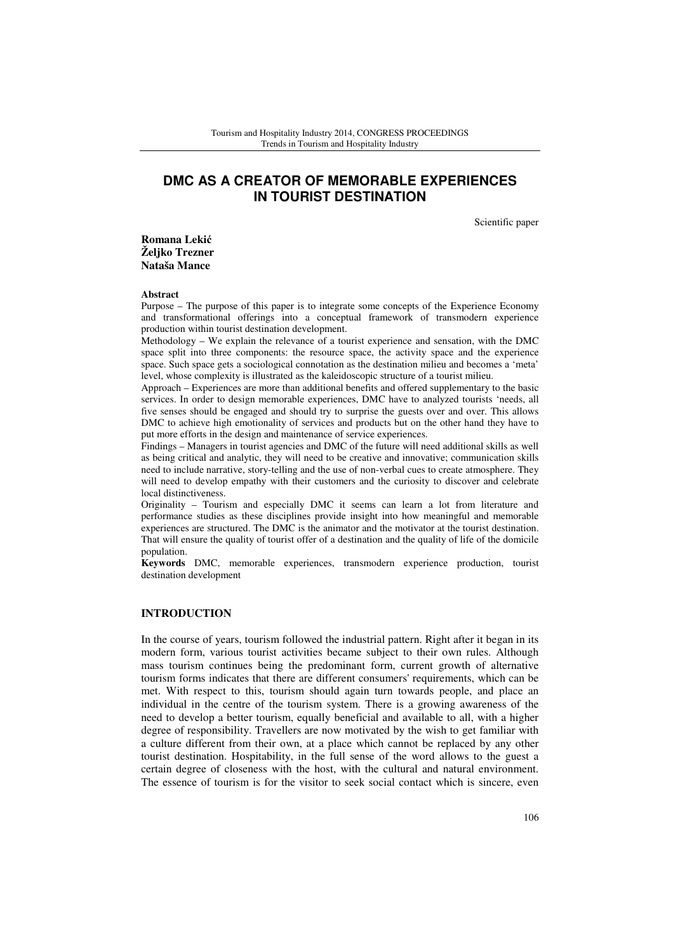# **DMC AS A CREATOR OF MEMORABLE EXPERIENCES IN TOURIST DESTINATION**

Scientific paper

**Romana Leki**ć **Željko Trezner Nataša Mance** 

#### **Abstract**

Purpose – The purpose of this paper is to integrate some concepts of the Experience Economy and transformational offerings into a conceptual framework of transmodern experience production within tourist destination development.

Methodology – We explain the relevance of a tourist experience and sensation, with the DMC space split into three components: the resource space, the activity space and the experience space. Such space gets a sociological connotation as the destination milieu and becomes a 'meta' level, whose complexity is illustrated as the kaleidoscopic structure of a tourist milieu.

Approach – Experiences are more than additional benefits and offered supplementary to the basic services. In order to design memorable experiences, DMC have to analyzed tourists 'needs, all five senses should be engaged and should try to surprise the guests over and over. This allows DMC to achieve high emotionality of services and products but on the other hand they have to put more efforts in the design and maintenance of service experiences.

Findings – Managers in tourist agencies and DMC of the future will need additional skills as well as being critical and analytic, they will need to be creative and innovative; communication skills need to include narrative, story-telling and the use of non-verbal cues to create atmosphere. They will need to develop empathy with their customers and the curiosity to discover and celebrate local distinctiveness.

Originality – Tourism and especially DMC it seems can learn a lot from literature and performance studies as these disciplines provide insight into how meaningful and memorable experiences are structured. The DMC is the animator and the motivator at the tourist destination. That will ensure the quality of tourist offer of a destination and the quality of life of the domicile population.

**Keywords** DMC, memorable experiences, transmodern experience production, tourist destination development

# **INTRODUCTION**

In the course of years, tourism followed the industrial pattern. Right after it began in its modern form, various tourist activities became subject to their own rules. Although mass tourism continues being the predominant form, current growth of alternative tourism forms indicates that there are different consumers' requirements, which can be met. With respect to this, tourism should again turn towards people, and place an individual in the centre of the tourism system. There is a growing awareness of the need to develop a better tourism, equally beneficial and available to all, with a higher degree of responsibility. Travellers are now motivated by the wish to get familiar with a culture different from their own, at a place which cannot be replaced by any other tourist destination. Hospitability, in the full sense of the word allows to the guest a certain degree of closeness with the host, with the cultural and natural environment. The essence of tourism is for the visitor to seek social contact which is sincere, even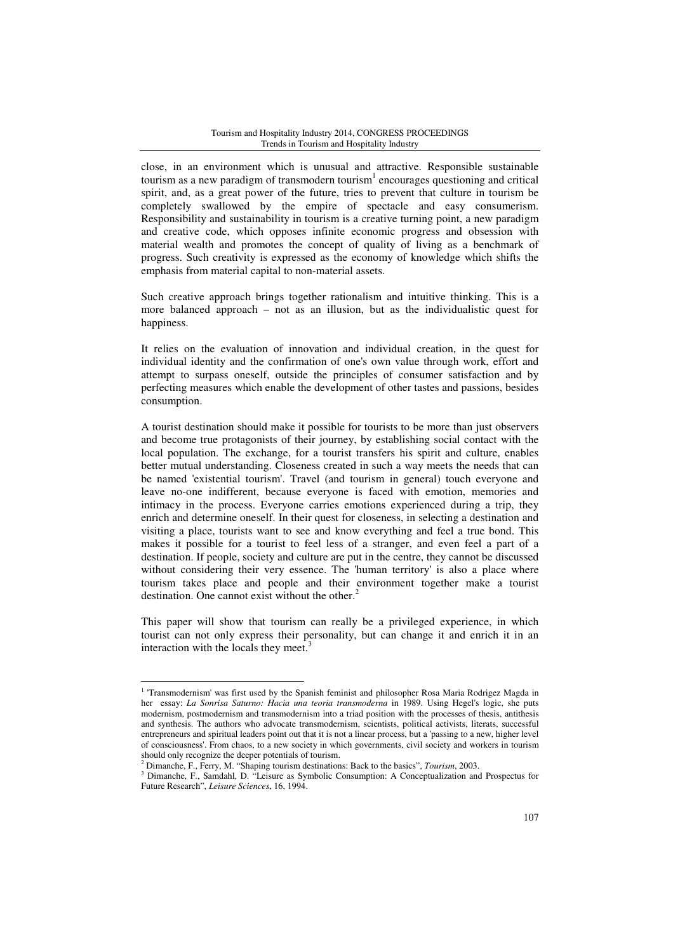close, in an environment which is unusual and attractive. Responsible sustainable tourism as a new paradigm of transmodern tourism $<sup>1</sup>$  encourages questioning and critical</sup> spirit, and, as a great power of the future, tries to prevent that culture in tourism be completely swallowed by the empire of spectacle and easy consumerism. Responsibility and sustainability in tourism is a creative turning point, a new paradigm and creative code, which opposes infinite economic progress and obsession with material wealth and promotes the concept of quality of living as a benchmark of progress. Such creativity is expressed as the economy of knowledge which shifts the emphasis from material capital to non-material assets.

Such creative approach brings together rationalism and intuitive thinking. This is a more balanced approach – not as an illusion, but as the individualistic quest for happiness.

It relies on the evaluation of innovation and individual creation, in the quest for individual identity and the confirmation of one's own value through work, effort and attempt to surpass oneself, outside the principles of consumer satisfaction and by perfecting measures which enable the development of other tastes and passions, besides consumption.

A tourist destination should make it possible for tourists to be more than just observers and become true protagonists of their journey, by establishing social contact with the local population. The exchange, for a tourist transfers his spirit and culture, enables better mutual understanding. Closeness created in such a way meets the needs that can be named 'existential tourism'. Travel (and tourism in general) touch everyone and leave no-one indifferent, because everyone is faced with emotion, memories and intimacy in the process. Everyone carries emotions experienced during a trip, they enrich and determine oneself. In their quest for closeness, in selecting a destination and visiting a place, tourists want to see and know everything and feel a true bond. This makes it possible for a tourist to feel less of a stranger, and even feel a part of a destination. If people, society and culture are put in the centre, they cannot be discussed without considering their very essence. The 'human territory' is also a place where tourism takes place and people and their environment together make a tourist destination. One cannot exist without the other.<sup>2</sup>

This paper will show that tourism can really be a privileged experience, in which tourist can not only express their personality, but can change it and enrich it in an interaction with the locals they meet.<sup>3</sup>

<sup>&</sup>lt;sup>1</sup> 'Transmodernism' was first used by the Spanish feminist and philosopher Rosa Maria Rodrigez Magda in her essay: *La Sonrisa Saturno: Hacia una teoria transmoderna* in 1989. Using Hegel's logic, she puts modernism, postmodernism and transmodernism into a triad position with the processes of thesis, antithesis and synthesis. The authors who advocate transmodernism, scientists, political activists, literats, successful entrepreneurs and spiritual leaders point out that it is not a linear process, but a 'passing to a new, higher level of consciousness'. From chaos, to a new society in which governments, civil society and workers in tourism should only recognize the deeper potentials of tourism.

<sup>2</sup> Dimanche, F., Ferry, M. "Shaping tourism destinations: Back to the basics", *Tourism*, 2003.

<sup>&</sup>lt;sup>3</sup> Dimanche, F., Samdahl, D. "Leisure as Symbolic Consumption: A Conceptualization and Prospectus for Future Research", *Leisure Sciences*, 16, 1994.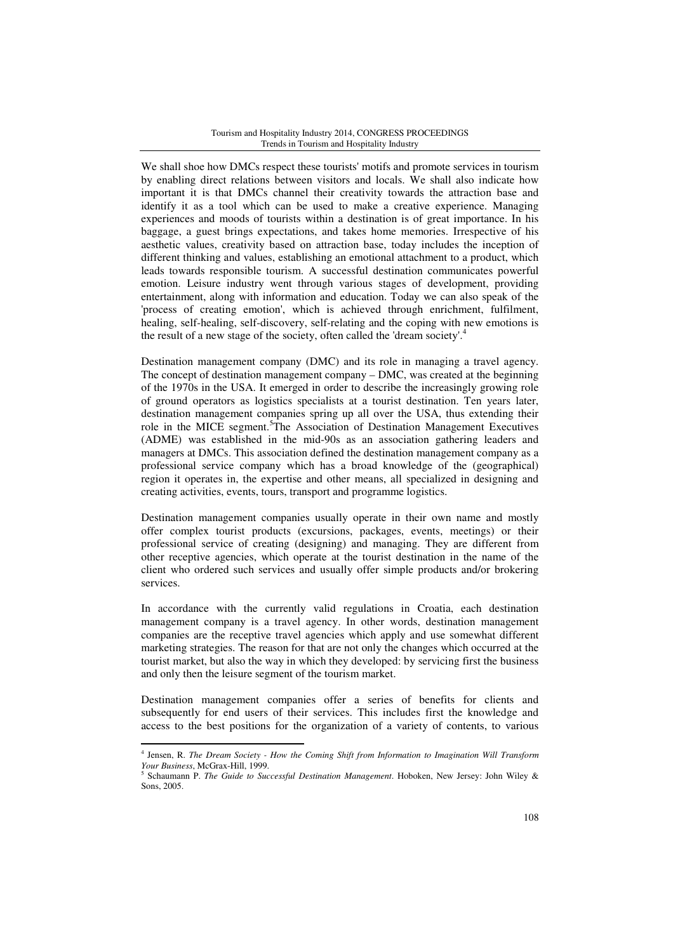We shall shoe how DMCs respect these tourists' motifs and promote services in tourism by enabling direct relations between visitors and locals. We shall also indicate how important it is that DMCs channel their creativity towards the attraction base and identify it as a tool which can be used to make a creative experience. Managing experiences and moods of tourists within a destination is of great importance. In his baggage, a guest brings expectations, and takes home memories. Irrespective of his aesthetic values, creativity based on attraction base, today includes the inception of different thinking and values, establishing an emotional attachment to a product, which leads towards responsible tourism. A successful destination communicates powerful emotion. Leisure industry went through various stages of development, providing entertainment, along with information and education. Today we can also speak of the 'process of creating emotion', which is achieved through enrichment, fulfilment, healing, self-healing, self-discovery, self-relating and the coping with new emotions is the result of a new stage of the society, often called the 'dream society'.<sup>4</sup>

Destination management company (DMC) and its role in managing a travel agency. The concept of destination management company – DMC, was created at the beginning of the 1970s in the USA. It emerged in order to describe the increasingly growing role of ground operators as logistics specialists at a tourist destination. Ten years later, destination management companies spring up all over the USA, thus extending their role in the MICE segment.<sup>5</sup>The Association of Destination Management Executives (ADME) was established in the mid-90s as an association gathering leaders and managers at DMCs. This association defined the destination management company as a professional service company which has a broad knowledge of the (geographical) region it operates in, the expertise and other means, all specialized in designing and creating activities, events, tours, transport and programme logistics.

Destination management companies usually operate in their own name and mostly offer complex tourist products (excursions, packages, events, meetings) or their professional service of creating (designing) and managing. They are different from other receptive agencies, which operate at the tourist destination in the name of the client who ordered such services and usually offer simple products and/or brokering services.

In accordance with the currently valid regulations in Croatia, each destination management company is a travel agency. In other words, destination management companies are the receptive travel agencies which apply and use somewhat different marketing strategies. The reason for that are not only the changes which occurred at the tourist market, but also the way in which they developed: by servicing first the business and only then the leisure segment of the tourism market.

Destination management companies offer a series of benefits for clients and subsequently for end users of their services. This includes first the knowledge and access to the best positions for the organization of a variety of contents, to various

<sup>4</sup> Jensen, R. *The Dream Society - How the Coming Shift from Information to Imagination Will Transform Your Business*, McGrax-Hill, 1999.

<sup>5</sup> Schaumann P. *The Guide to Successful Destination Management*. Hoboken, New Jersey: John Wiley & Sons, 2005.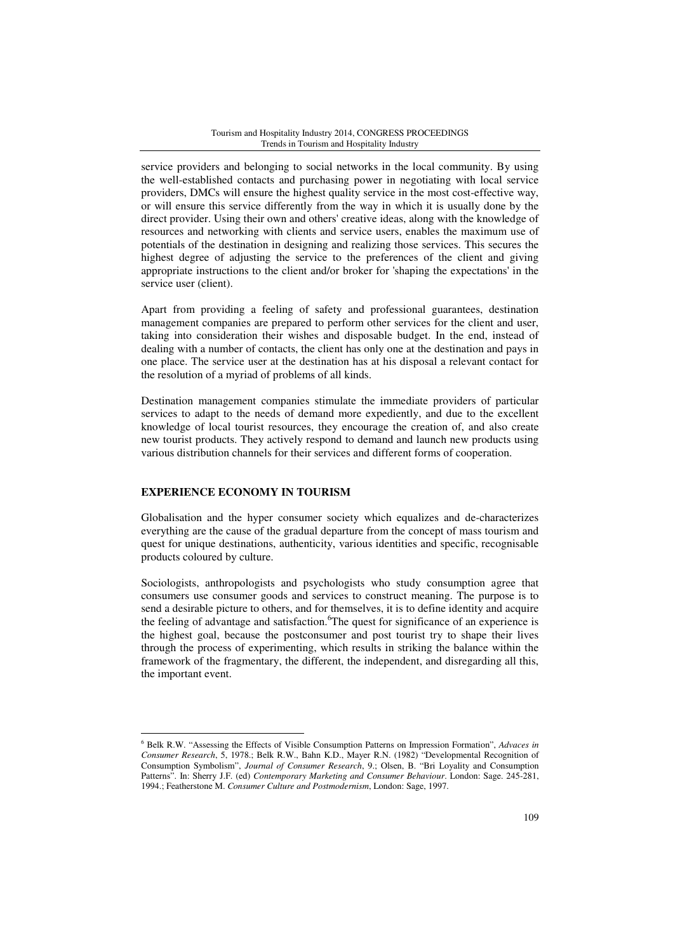service providers and belonging to social networks in the local community. By using the well-established contacts and purchasing power in negotiating with local service providers, DMCs will ensure the highest quality service in the most cost-effective way, or will ensure this service differently from the way in which it is usually done by the direct provider. Using their own and others' creative ideas, along with the knowledge of resources and networking with clients and service users, enables the maximum use of potentials of the destination in designing and realizing those services. This secures the highest degree of adjusting the service to the preferences of the client and giving appropriate instructions to the client and/or broker for 'shaping the expectations' in the service user (client).

Apart from providing a feeling of safety and professional guarantees, destination management companies are prepared to perform other services for the client and user, taking into consideration their wishes and disposable budget. In the end, instead of dealing with a number of contacts, the client has only one at the destination and pays in one place. The service user at the destination has at his disposal a relevant contact for the resolution of a myriad of problems of all kinds.

Destination management companies stimulate the immediate providers of particular services to adapt to the needs of demand more expediently, and due to the excellent knowledge of local tourist resources, they encourage the creation of, and also create new tourist products. They actively respond to demand and launch new products using various distribution channels for their services and different forms of cooperation.

### **EXPERIENCE ECONOMY IN TOURISM**

 $\overline{a}$ 

Globalisation and the hyper consumer society which equalizes and de-characterizes everything are the cause of the gradual departure from the concept of mass tourism and quest for unique destinations, authenticity, various identities and specific, recognisable products coloured by culture.

Sociologists, anthropologists and psychologists who study consumption agree that consumers use consumer goods and services to construct meaning. The purpose is to send a desirable picture to others, and for themselves, it is to define identity and acquire the feeling of advantage and satisfaction.<sup>6</sup>The quest for significance of an experience is the highest goal, because the postconsumer and post tourist try to shape their lives through the process of experimenting, which results in striking the balance within the framework of the fragmentary, the different, the independent, and disregarding all this, the important event.

<sup>6</sup> Belk R.W. "Assessing the Effects of Visible Consumption Patterns on Impression Formation", *Advaces in Consumer Research*, 5, 1978.; Belk R.W., Bahn K.D., Mayer R.N. (1982) "Developmental Recognition of Consumption Symbolism", *Journal of Consumer Research*, 9.; Olsen, B. "Bri Loyality and Consumption Patterns". In: Sherry J.F. (ed) *Contemporary Marketing and Consumer Behaviour*. London: Sage. 245-281, 1994.; Featherstone M. *Consumer Culture and Postmodernism*, London: Sage, 1997.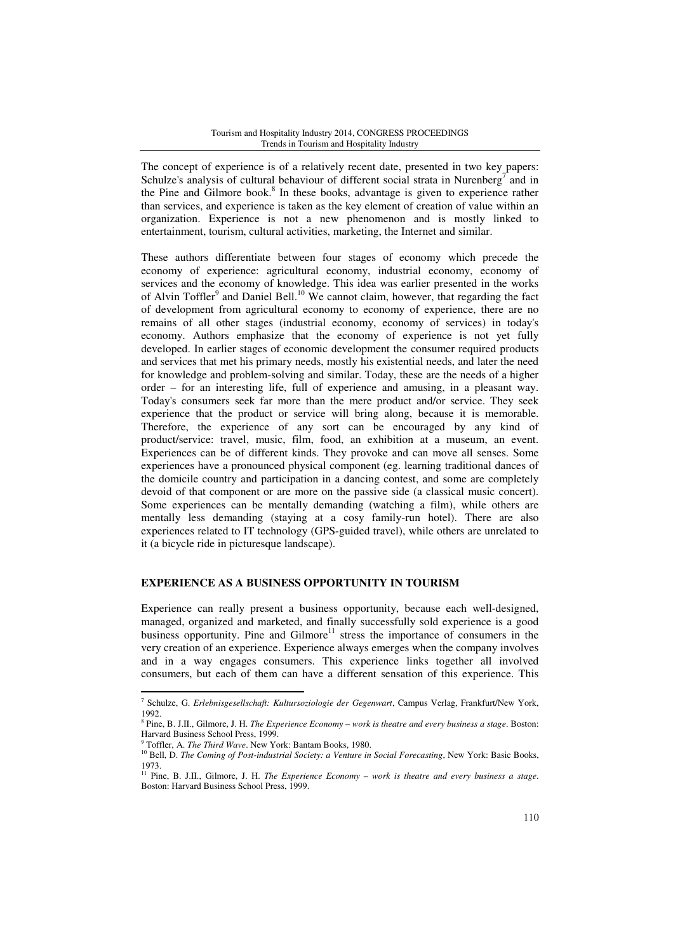The concept of experience is of a relatively recent date, presented in two key papers: Schulze's analysis of cultural behaviour of different social strata in Nurenberg<sup>7</sup> and in the Pine and Gilmore book.<sup>8</sup> In these books, advantage is given to experience rather than services, and experience is taken as the key element of creation of value within an organization. Experience is not a new phenomenon and is mostly linked to entertainment, tourism, cultural activities, marketing, the Internet and similar.

These authors differentiate between four stages of economy which precede the economy of experience: agricultural economy, industrial economy, economy of services and the economy of knowledge. This idea was earlier presented in the works of Alvin Toffler<sup>9</sup> and Daniel Bell.<sup>10</sup> We cannot claim, however, that regarding the fact of development from agricultural economy to economy of experience, there are no remains of all other stages (industrial economy, economy of services) in today's economy. Authors emphasize that the economy of experience is not yet fully developed. In earlier stages of economic development the consumer required products and services that met his primary needs, mostly his existential needs, and later the need for knowledge and problem-solving and similar. Today, these are the needs of a higher order – for an interesting life, full of experience and amusing, in a pleasant way. Today's consumers seek far more than the mere product and/or service. They seek experience that the product or service will bring along, because it is memorable. Therefore, the experience of any sort can be encouraged by any kind of product/service: travel, music, film, food, an exhibition at a museum, an event. Experiences can be of different kinds. They provoke and can move all senses. Some experiences have a pronounced physical component (eg. learning traditional dances of the domicile country and participation in a dancing contest, and some are completely devoid of that component or are more on the passive side (a classical music concert). Some experiences can be mentally demanding (watching a film), while others are mentally less demanding (staying at a cosy family-run hotel). There are also experiences related to IT technology (GPS-guided travel), while others are unrelated to it (a bicycle ride in picturesque landscape).

### **EXPERIENCE AS A BUSINESS OPPORTUNITY IN TOURISM**

Experience can really present a business opportunity, because each well-designed, managed, organized and marketed, and finally successfully sold experience is a good business opportunity. Pine and Gilmore<sup>11</sup> stress the importance of consumers in the very creation of an experience. Experience always emerges when the company involves and in a way engages consumers. This experience links together all involved consumers, but each of them can have a different sensation of this experience. This

<sup>7</sup> Schulze, G. *Erlebnisgesellschaft: Kultursoziologie der Gegenwart*, Campus Verlag, Frankfurt/New York, 1992.

<sup>8</sup> Pine, B. J.II., Gilmore, J. H. *The Experience Economy – work is theatre and every business a stage*. Boston: Harvard Business School Press, 1999.

<sup>9</sup> Toffler, A. *The Third Wave*. New York: Bantam Books, 1980.

<sup>&</sup>lt;sup>10</sup> Bell, D. *The Coming of Post-industrial Society: a Venture in Social Forecasting*, New York: Basic Books, 1973.

<sup>&</sup>lt;sup>11</sup> Pine, B. J.II., Gilmore, J. H. *The Experience Economy – work is theatre and every business a stage*. Boston: Harvard Business School Press, 1999.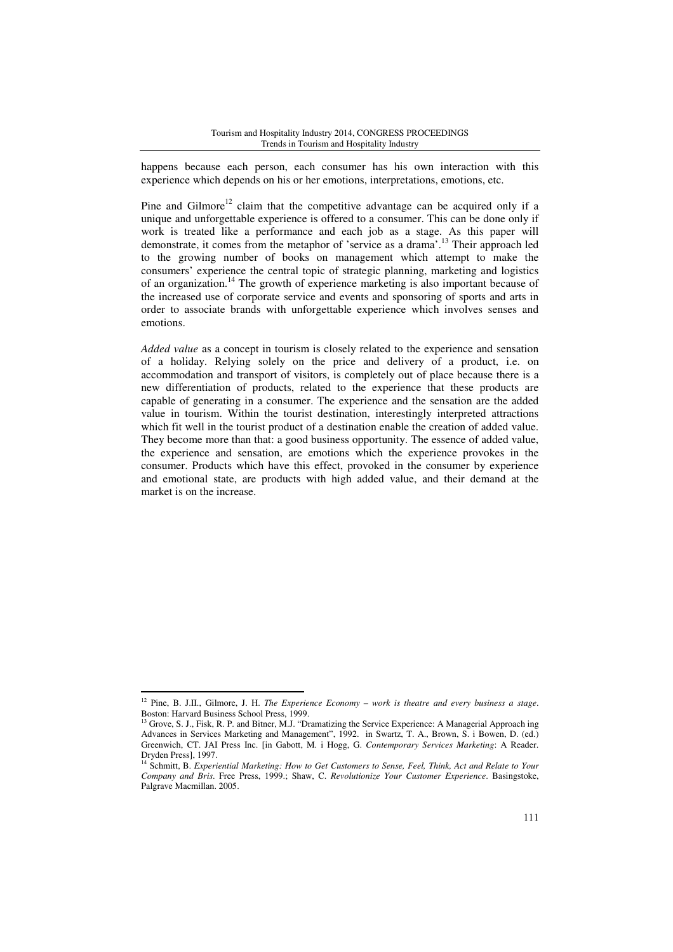happens because each person, each consumer has his own interaction with this experience which depends on his or her emotions, interpretations, emotions, etc.

Pine and Gilmore<sup>12</sup> claim that the competitive advantage can be acquired only if a unique and unforgettable experience is offered to a consumer. This can be done only if work is treated like a performance and each job as a stage. As this paper will demonstrate, it comes from the metaphor of 'service as a drama'.<sup>13</sup> Their approach led to the growing number of books on management which attempt to make the consumers' experience the central topic of strategic planning, marketing and logistics of an organization.<sup>14</sup> The growth of experience marketing is also important because of the increased use of corporate service and events and sponsoring of sports and arts in order to associate brands with unforgettable experience which involves senses and emotions.

*Added value* as a concept in tourism is closely related to the experience and sensation of a holiday. Relying solely on the price and delivery of a product, i.e. on accommodation and transport of visitors, is completely out of place because there is a new differentiation of products, related to the experience that these products are capable of generating in a consumer. The experience and the sensation are the added value in tourism. Within the tourist destination, interestingly interpreted attractions which fit well in the tourist product of a destination enable the creation of added value. They become more than that: a good business opportunity. The essence of added value, the experience and sensation, are emotions which the experience provokes in the consumer. Products which have this effect, provoked in the consumer by experience and emotional state, are products with high added value, and their demand at the market is on the increase.

<sup>12</sup> Pine, B. J.II., Gilmore, J. H. *The Experience Economy – work is theatre and every business a stage*. Boston: Harvard Business School Press, 1999.

<sup>&</sup>lt;sup>13</sup> Grove, S. J., Fisk, R. P. and Bitner, M.J. "Dramatizing the Service Experience: A Managerial Approach ing Advances in Services Marketing and Management", 1992. in Swartz, T. A., Brown, S. i Bowen, D. (ed.) Greenwich, CT. JAI Press Inc. [in Gabott, M. i Hogg, G. *Contemporary Services Marketing*: A Reader. Dryden Press], 1997.

<sup>14</sup> Schmitt, B. *Experiential Marketing: How to Get Customers to Sense, Feel, Think, Act and Relate to Your Company and Bris*. Free Press, 1999.; Shaw, C. *Revolutionize Your Customer Experience*. Basingstoke, Palgrave Macmillan. 2005.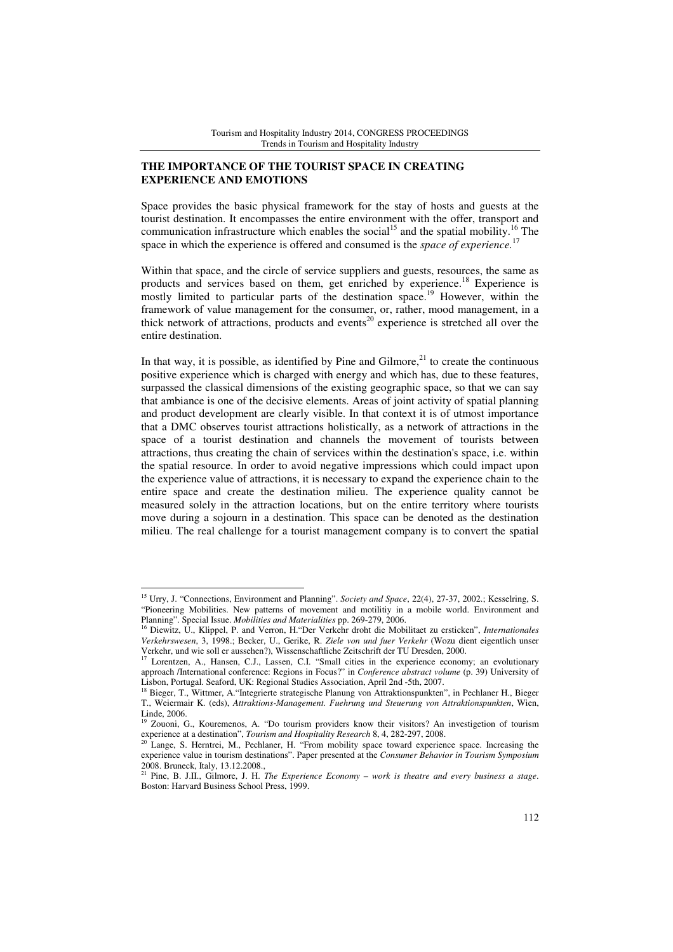## **THE IMPORTANCE OF THE TOURIST SPACE IN CREATING EXPERIENCE AND EMOTIONS**

Space provides the basic physical framework for the stay of hosts and guests at the tourist destination. It encompasses the entire environment with the offer, transport and communication infrastructure which enables the social<sup>15</sup> and the spatial mobility.<sup>16</sup> The space in which the experience is offered and consumed is the *space of experience.*<sup>17</sup>

Within that space, and the circle of service suppliers and guests, resources, the same as products and services based on them, get enriched by experience.<sup>18</sup> Experience is mostly limited to particular parts of the destination space.<sup>19</sup> However, within the framework of value management for the consumer, or, rather, mood management, in a thick network of attractions, products and events<sup>20</sup> experience is stretched all over the entire destination.

In that way, it is possible, as identified by Pine and Gilmore, $^{21}$  to create the continuous positive experience which is charged with energy and which has, due to these features, surpassed the classical dimensions of the existing geographic space, so that we can say that ambiance is one of the decisive elements. Areas of joint activity of spatial planning and product development are clearly visible. In that context it is of utmost importance that a DMC observes tourist attractions holistically, as a network of attractions in the space of a tourist destination and channels the movement of tourists between attractions, thus creating the chain of services within the destination's space, i.e. within the spatial resource. In order to avoid negative impressions which could impact upon the experience value of attractions, it is necessary to expand the experience chain to the entire space and create the destination milieu. The experience quality cannot be measured solely in the attraction locations, but on the entire territory where tourists move during a sojourn in a destination. This space can be denoted as the destination milieu. The real challenge for a tourist management company is to convert the spatial

<sup>15</sup> Urry, J. "Connections, Environment and Planning". *Society and Space*, 22(4), 27-37, 2002.; Kesselring, S. "Pioneering Mobilities. New patterns of movement and motilitiy in a mobile world. Environment and Planning". Special Issue. *Mobilities and Materialities* pp. 269-279, 2006.

<sup>16</sup> Diewitz, U., Klippel, P. and Verron, H."Der Verkehr droht die Mobilitaet zu ersticken", *Internationales Verkehrswesen*, 3, 1998.; Becker, U., Gerike, R. *Ziele von und fuer Verkehr* (Wozu dient eigentlich unser Verkehr, und wie soll er aussehen?), Wissenschaftliche Zeitschrift der TU Dresden, 2000.

Lorentzen, A., Hansen, C.J., Lassen, C.I. "Small cities in the experience economy; an evolutionary approach /International conference: Regions in Focus?" in *Conference abstract volume* (p. 39) University of Lisbon, Portugal. Seaford, UK: Regional Studies Association, April 2nd -5th, 2007.

<sup>18</sup> Bieger, T., Wittmer, A."Integrierte strategische Planung von Attraktionspunkten", in Pechlaner H., Bieger T., Weiermair K. (eds), *Attraktions-Management. Fuehrung und Steuerung von Attraktionspunkten*, Wien, Linde, 2006.

<sup>&</sup>lt;sup>19</sup> Zouoni, G., Kouremenos, A. "Do tourism providers know their visitors? An investigetion of tourism experience at a destination", *Tourism and Hospitality Research* 8, 4, 282-297, 2008.

<sup>&</sup>lt;sup>20</sup> Lange, S. Herntrei, M., Pechlaner, H. "From mobility space toward experience space. Increasing the experience value in tourism destinations". Paper presented at the *Consumer Behavior in Tourism Symposium* 2008. Bruneck, Italy, 13.12.2008.,

<sup>21</sup> Pine, B. J.II., Gilmore, J. H. *The Experience Economy – work is theatre and every business a stage*. Boston: Harvard Business School Press, 1999.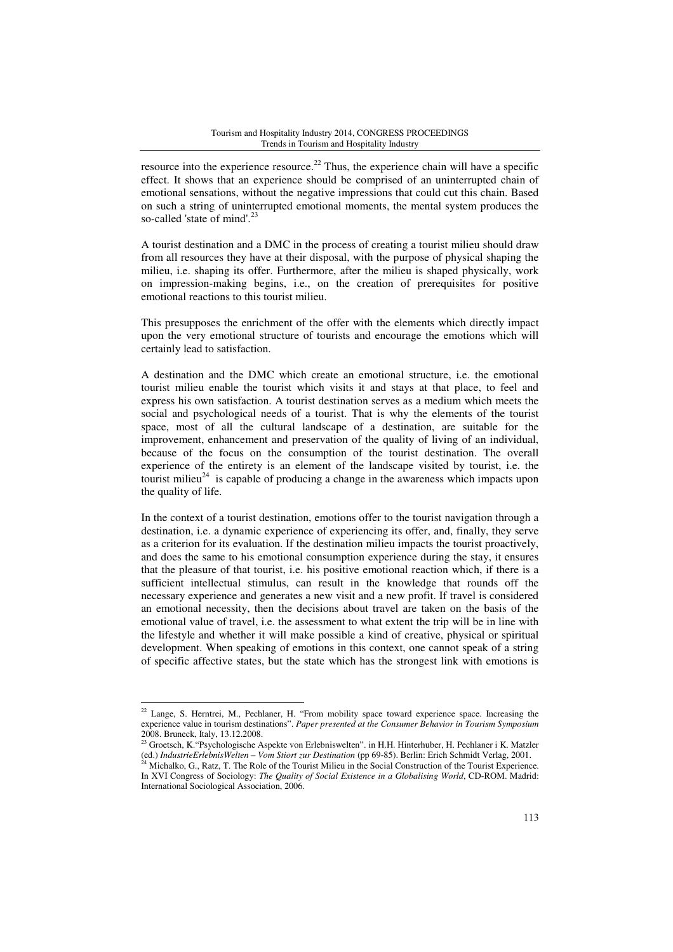resource into the experience resource.<sup>22</sup> Thus, the experience chain will have a specific effect. It shows that an experience should be comprised of an uninterrupted chain of emotional sensations, without the negative impressions that could cut this chain. Based on such a string of uninterrupted emotional moments, the mental system produces the so-called 'state of mind'.<sup>23</sup>

A tourist destination and a DMC in the process of creating a tourist milieu should draw from all resources they have at their disposal, with the purpose of physical shaping the milieu, i.e. shaping its offer. Furthermore, after the milieu is shaped physically, work on impression-making begins, i.e., on the creation of prerequisites for positive emotional reactions to this tourist milieu.

This presupposes the enrichment of the offer with the elements which directly impact upon the very emotional structure of tourists and encourage the emotions which will certainly lead to satisfaction.

A destination and the DMC which create an emotional structure, i.e. the emotional tourist milieu enable the tourist which visits it and stays at that place, to feel and express his own satisfaction. A tourist destination serves as a medium which meets the social and psychological needs of a tourist. That is why the elements of the tourist space, most of all the cultural landscape of a destination, are suitable for the improvement, enhancement and preservation of the quality of living of an individual, because of the focus on the consumption of the tourist destination. The overall experience of the entirety is an element of the landscape visited by tourist, i.e. the tourist milieu<sup>24</sup> is capable of producing a change in the awareness which impacts upon the quality of life.

In the context of a tourist destination, emotions offer to the tourist navigation through a destination, i.e. a dynamic experience of experiencing its offer, and, finally, they serve as a criterion for its evaluation. If the destination milieu impacts the tourist proactively, and does the same to his emotional consumption experience during the stay, it ensures that the pleasure of that tourist, i.e. his positive emotional reaction which, if there is a sufficient intellectual stimulus, can result in the knowledge that rounds off the necessary experience and generates a new visit and a new profit. If travel is considered an emotional necessity, then the decisions about travel are taken on the basis of the emotional value of travel, i.e. the assessment to what extent the trip will be in line with the lifestyle and whether it will make possible a kind of creative, physical or spiritual development. When speaking of emotions in this context, one cannot speak of a string of specific affective states, but the state which has the strongest link with emotions is

<sup>&</sup>lt;sup>22</sup> Lange, S. Herntrei, M., Pechlaner, H. "From mobility space toward experience space. Increasing the experience value in tourism destinations". *Paper presented at the Consumer Behavior in Tourism Symposium* 2008. Bruneck, Italy, 13.12.2008.

<sup>&</sup>lt;sup>23</sup> Groetsch, K. "Psychologische Aspekte von Erlebniswelten". in H.H. Hinterhuber, H. Pechlaner i K. Matzler (ed.) *IndustrieErlebnisWelten – Vom Stiort zur Destination* (pp 69-85). Berlin: Erich Schmidt Verlag, 2001.

<sup>&</sup>lt;sup>24</sup> Michalko, G., Ratz, T. The Role of the Tourist Milieu in the Social Construction of the Tourist Experience. In XVI Congress of Sociology: *The Quality of Social Existence in a Globalising World*, CD-ROM. Madrid: International Sociological Association, 2006.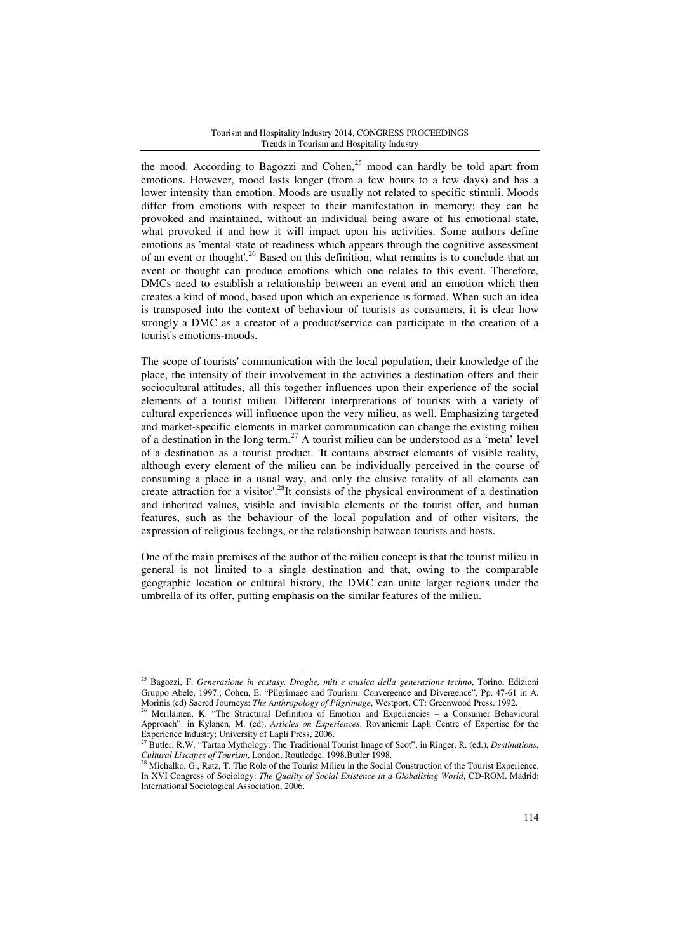the mood. According to Bagozzi and Cohen, $25 \text{ mood}$  can hardly be told apart from emotions. However, mood lasts longer (from a few hours to a few days) and has a lower intensity than emotion. Moods are usually not related to specific stimuli. Moods differ from emotions with respect to their manifestation in memory; they can be provoked and maintained, without an individual being aware of his emotional state, what provoked it and how it will impact upon his activities. Some authors define emotions as 'mental state of readiness which appears through the cognitive assessment of an event or thought'.<sup>26</sup> Based on this definition, what remains is to conclude that an event or thought can produce emotions which one relates to this event. Therefore, DMCs need to establish a relationship between an event and an emotion which then creates a kind of mood, based upon which an experience is formed. When such an idea is transposed into the context of behaviour of tourists as consumers, it is clear how strongly a DMC as a creator of a product/service can participate in the creation of a tourist's emotions-moods.

The scope of tourists' communication with the local population, their knowledge of the place, the intensity of their involvement in the activities a destination offers and their sociocultural attitudes, all this together influences upon their experience of the social elements of a tourist milieu. Different interpretations of tourists with a variety of cultural experiences will influence upon the very milieu, as well. Emphasizing targeted and market-specific elements in market communication can change the existing milieu of a destination in the long term.<sup>27</sup> A tourist milieu can be understood as a 'meta' level of a destination as a tourist product. 'It contains abstract elements of visible reality, although every element of the milieu can be individually perceived in the course of consuming a place in a usual way, and only the elusive totality of all elements can create attraction for a visitor'.<sup>28</sup>It consists of the physical environment of a destination and inherited values, visible and invisible elements of the tourist offer, and human features, such as the behaviour of the local population and of other visitors, the expression of religious feelings, or the relationship between tourists and hosts.

One of the main premises of the author of the milieu concept is that the tourist milieu in general is not limited to a single destination and that, owing to the comparable geographic location or cultural history, the DMC can unite larger regions under the umbrella of its offer, putting emphasis on the similar features of the milieu.

<sup>25</sup> Bagozzi, F. *Generazione in ecstasy, Droghe, miti e musica della generazione techno*, Torino, Edizioni Gruppo Abele, 1997.; Cohen, E. "Pilgrimage and Tourism: Convergence and Divergence", Pp. 47-61 in A. Morinis (ed) Sacred Journeys: *The Anthropology of Pilgrimage*, Westport, CT: Greenwood Press. 1992.

<sup>26</sup> Meriläinen, K. "The Structural Definition of Emotion and Experiencies – a Consumer Behavioural Approach". in Kylanen, M. (ed), *Articles on Experiences*. Rovaniemi: Lapli Centre of Expertise for the Experience Industry; University of Lapli Press, 2006.

<sup>27</sup> Butler, R.W. "Tartan Mythology: The Traditional Tourist Image of Scot", in Ringer, R. (ed.), *Destinations. Cultural Liscapes of Tourism*, London, Routledge, 1998.Butler 1998.

<sup>&</sup>lt;sup>28</sup> Michalko, G., Ratz, T. The Role of the Tourist Milieu in the Social Construction of the Tourist Experience. In XVI Congress of Sociology: *The Quality of Social Existence in a Globalising World*, CD-ROM. Madrid: International Sociological Association, 2006.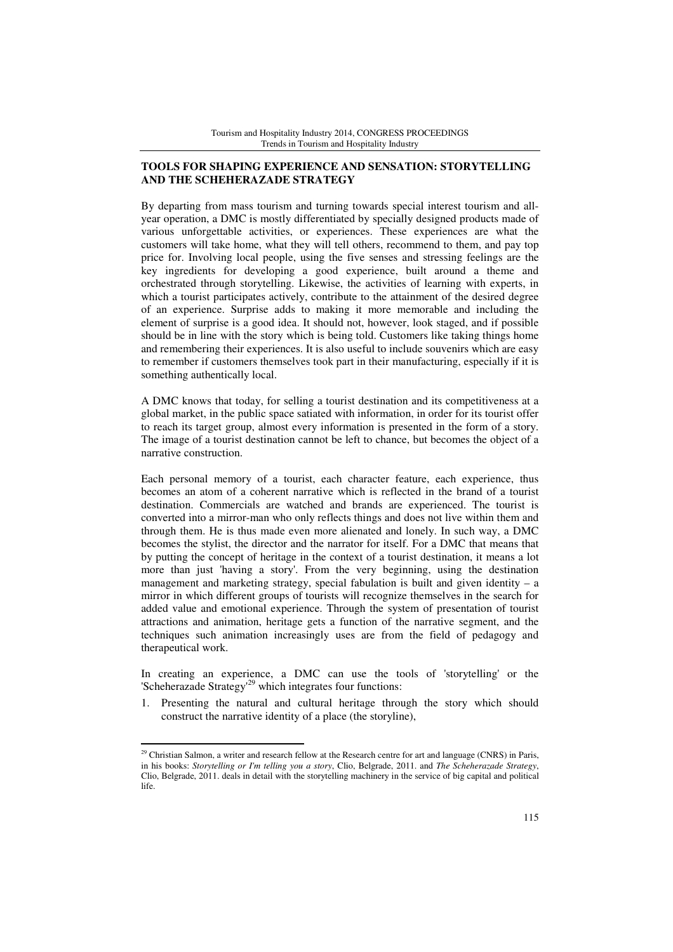# **TOOLS FOR SHAPING EXPERIENCE AND SENSATION: STORYTELLING AND THE SCHEHERAZADE STRATEGY**

By departing from mass tourism and turning towards special interest tourism and allyear operation, a DMC is mostly differentiated by specially designed products made of various unforgettable activities, or experiences. These experiences are what the customers will take home, what they will tell others, recommend to them, and pay top price for. Involving local people, using the five senses and stressing feelings are the key ingredients for developing a good experience, built around a theme and orchestrated through storytelling. Likewise, the activities of learning with experts, in which a tourist participates actively, contribute to the attainment of the desired degree of an experience. Surprise adds to making it more memorable and including the element of surprise is a good idea. It should not, however, look staged, and if possible should be in line with the story which is being told. Customers like taking things home and remembering their experiences. It is also useful to include souvenirs which are easy to remember if customers themselves took part in their manufacturing, especially if it is something authentically local.

A DMC knows that today, for selling a tourist destination and its competitiveness at a global market, in the public space satiated with information, in order for its tourist offer to reach its target group, almost every information is presented in the form of a story. The image of a tourist destination cannot be left to chance, but becomes the object of a narrative construction.

Each personal memory of a tourist, each character feature, each experience, thus becomes an atom of a coherent narrative which is reflected in the brand of a tourist destination. Commercials are watched and brands are experienced. The tourist is converted into a mirror-man who only reflects things and does not live within them and through them. He is thus made even more alienated and lonely. In such way, a DMC becomes the stylist, the director and the narrator for itself. For a DMC that means that by putting the concept of heritage in the context of a tourist destination, it means a lot more than just 'having a story'. From the very beginning, using the destination management and marketing strategy, special fabulation is built and given identity  $- a$ mirror in which different groups of tourists will recognize themselves in the search for added value and emotional experience. Through the system of presentation of tourist attractions and animation, heritage gets a function of the narrative segment, and the techniques such animation increasingly uses are from the field of pedagogy and therapeutical work.

In creating an experience, a DMC can use the tools of 'storytelling' or the 'Scheherazade Strategy'<sup>29</sup> which integrates four functions:

1. Presenting the natural and cultural heritage through the story which should construct the narrative identity of a place (the storyline),

<sup>&</sup>lt;sup>29</sup> Christian Salmon, a writer and research fellow at the Research centre for art and language (CNRS) in Paris, in his books: *Storytelling or I'm telling you a story*, Clio, Belgrade, 2011. and *The Scheherazade Strategy*, Clio, Belgrade, 2011. deals in detail with the storytelling machinery in the service of big capital and political life.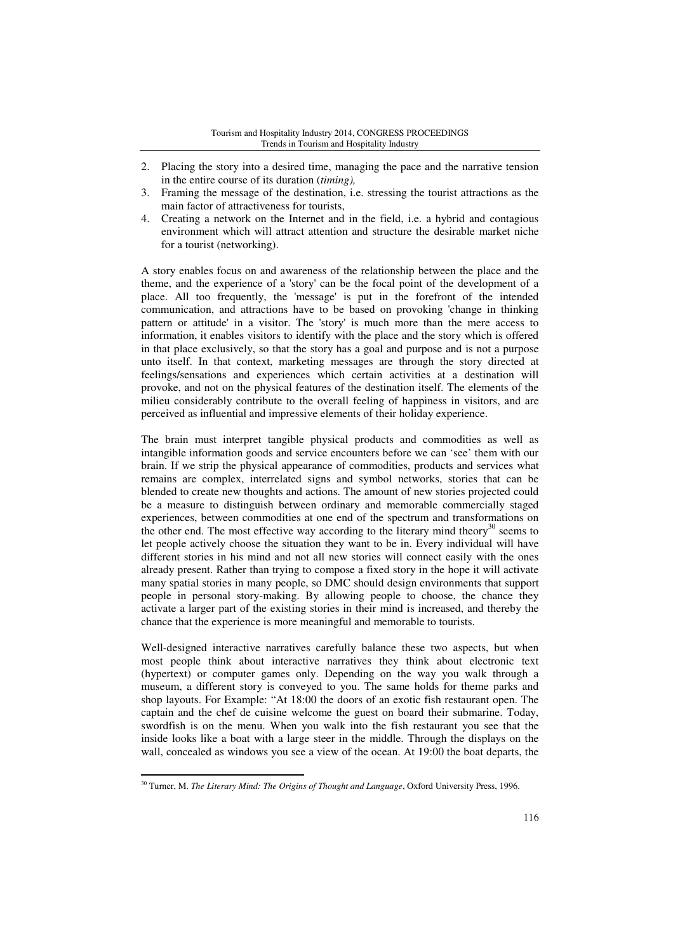- 2. Placing the story into a desired time, managing the pace and the narrative tension in the entire course of its duration (*timing),*
- 3. Framing the message of the destination, i.e. stressing the tourist attractions as the main factor of attractiveness for tourists,
- 4. Creating a network on the Internet and in the field, i.e. a hybrid and contagious environment which will attract attention and structure the desirable market niche for a tourist (networking).

A story enables focus on and awareness of the relationship between the place and the theme, and the experience of a 'story' can be the focal point of the development of a place. All too frequently, the 'message' is put in the forefront of the intended communication, and attractions have to be based on provoking 'change in thinking pattern or attitude' in a visitor. The 'story' is much more than the mere access to information, it enables visitors to identify with the place and the story which is offered in that place exclusively, so that the story has a goal and purpose and is not a purpose unto itself. In that context, marketing messages are through the story directed at feelings/sensations and experiences which certain activities at a destination will provoke, and not on the physical features of the destination itself. The elements of the milieu considerably contribute to the overall feeling of happiness in visitors, and are perceived as influential and impressive elements of their holiday experience.

The brain must interpret tangible physical products and commodities as well as intangible information goods and service encounters before we can 'see' them with our brain. If we strip the physical appearance of commodities, products and services what remains are complex, interrelated signs and symbol networks, stories that can be blended to create new thoughts and actions. The amount of new stories projected could be a measure to distinguish between ordinary and memorable commercially staged experiences, between commodities at one end of the spectrum and transformations on the other end. The most effective way according to the literary mind theory<sup>30</sup> seems to let people actively choose the situation they want to be in. Every individual will have different stories in his mind and not all new stories will connect easily with the ones already present. Rather than trying to compose a fixed story in the hope it will activate many spatial stories in many people, so DMC should design environments that support people in personal story-making. By allowing people to choose, the chance they activate a larger part of the existing stories in their mind is increased, and thereby the chance that the experience is more meaningful and memorable to tourists.

Well-designed interactive narratives carefully balance these two aspects, but when most people think about interactive narratives they think about electronic text (hypertext) or computer games only. Depending on the way you walk through a museum, a different story is conveyed to you. The same holds for theme parks and shop layouts. For Example: "At 18:00 the doors of an exotic fish restaurant open. The captain and the chef de cuisine welcome the guest on board their submarine. Today, swordfish is on the menu. When you walk into the fish restaurant you see that the inside looks like a boat with a large steer in the middle. Through the displays on the wall, concealed as windows you see a view of the ocean. At 19:00 the boat departs, the

<sup>30</sup> Turner, M. *The Literary Mind: The Origins of Thought and Language*, Oxford University Press, 1996.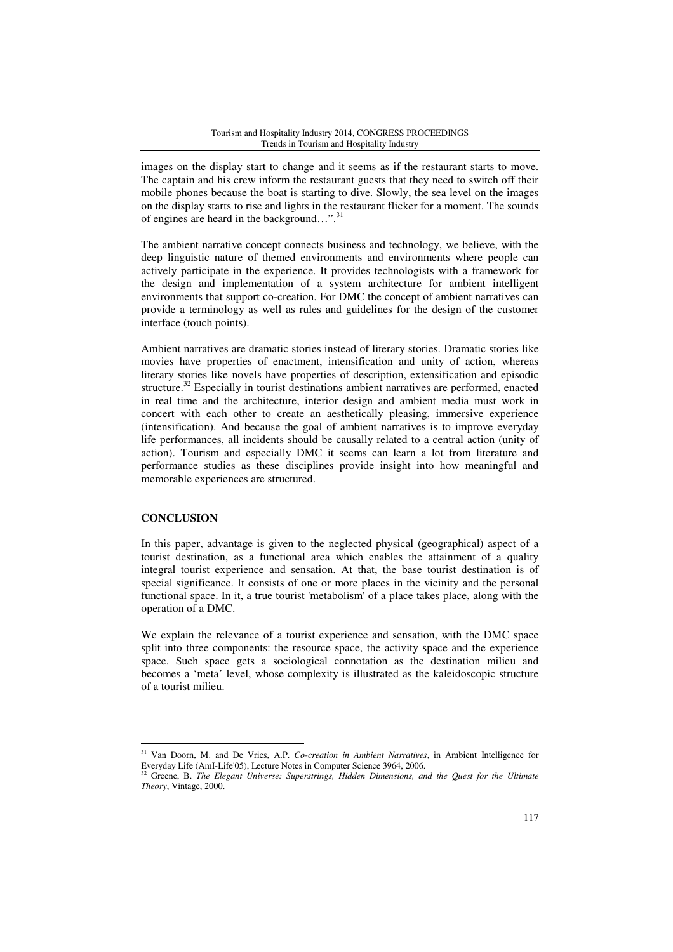images on the display start to change and it seems as if the restaurant starts to move. The captain and his crew inform the restaurant guests that they need to switch off their mobile phones because the boat is starting to dive. Slowly, the sea level on the images on the display starts to rise and lights in the restaurant flicker for a moment. The sounds of engines are heard in the background...".<sup>31</sup>

The ambient narrative concept connects business and technology, we believe, with the deep linguistic nature of themed environments and environments where people can actively participate in the experience. It provides technologists with a framework for the design and implementation of a system architecture for ambient intelligent environments that support co-creation. For DMC the concept of ambient narratives can provide a terminology as well as rules and guidelines for the design of the customer interface (touch points).

Ambient narratives are dramatic stories instead of literary stories. Dramatic stories like movies have properties of enactment, intensification and unity of action, whereas literary stories like novels have properties of description, extensification and episodic structure.<sup>32</sup> Especially in tourist destinations ambient narratives are performed, enacted in real time and the architecture, interior design and ambient media must work in concert with each other to create an aesthetically pleasing, immersive experience (intensification). And because the goal of ambient narratives is to improve everyday life performances, all incidents should be causally related to a central action (unity of action). Tourism and especially DMC it seems can learn a lot from literature and performance studies as these disciplines provide insight into how meaningful and memorable experiences are structured.

### **CONCLUSION**

l

In this paper, advantage is given to the neglected physical (geographical) aspect of a tourist destination, as a functional area which enables the attainment of a quality integral tourist experience and sensation. At that, the base tourist destination is of special significance. It consists of one or more places in the vicinity and the personal functional space. In it, a true tourist 'metabolism' of a place takes place, along with the operation of a DMC.

We explain the relevance of a tourist experience and sensation, with the DMC space split into three components: the resource space, the activity space and the experience space. Such space gets a sociological connotation as the destination milieu and becomes a 'meta' level, whose complexity is illustrated as the kaleidoscopic structure of a tourist milieu.

<sup>31</sup> Van Doorn, M. and De Vries, A.P. *Co-creation in Ambient Narratives*, in Ambient Intelligence for Everyday Life (AmI-Life'05), Lecture Notes in Computer Science 3964, 2006.

<sup>32</sup> Greene, B. *The Elegant Universe: Superstrings, Hidden Dimensions, and the Quest for the Ultimate Theory*, Vintage, 2000.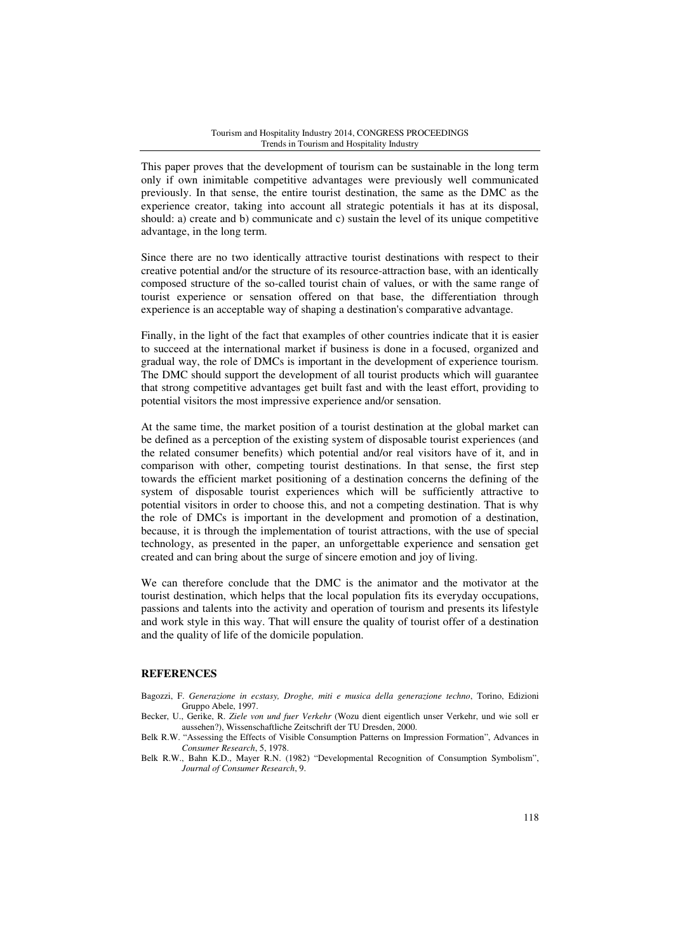This paper proves that the development of tourism can be sustainable in the long term only if own inimitable competitive advantages were previously well communicated previously. In that sense, the entire tourist destination, the same as the DMC as the experience creator, taking into account all strategic potentials it has at its disposal, should: a) create and b) communicate and c) sustain the level of its unique competitive advantage, in the long term.

Since there are no two identically attractive tourist destinations with respect to their creative potential and/or the structure of its resource-attraction base, with an identically composed structure of the so-called tourist chain of values, or with the same range of tourist experience or sensation offered on that base, the differentiation through experience is an acceptable way of shaping a destination's comparative advantage.

Finally, in the light of the fact that examples of other countries indicate that it is easier to succeed at the international market if business is done in a focused, organized and gradual way, the role of DMCs is important in the development of experience tourism. The DMC should support the development of all tourist products which will guarantee that strong competitive advantages get built fast and with the least effort, providing to potential visitors the most impressive experience and/or sensation.

At the same time, the market position of a tourist destination at the global market can be defined as a perception of the existing system of disposable tourist experiences (and the related consumer benefits) which potential and/or real visitors have of it, and in comparison with other, competing tourist destinations. In that sense, the first step towards the efficient market positioning of a destination concerns the defining of the system of disposable tourist experiences which will be sufficiently attractive to potential visitors in order to choose this, and not a competing destination. That is why the role of DMCs is important in the development and promotion of a destination, because, it is through the implementation of tourist attractions, with the use of special technology, as presented in the paper, an unforgettable experience and sensation get created and can bring about the surge of sincere emotion and joy of living.

We can therefore conclude that the DMC is the animator and the motivator at the tourist destination, which helps that the local population fits its everyday occupations, passions and talents into the activity and operation of tourism and presents its lifestyle and work style in this way. That will ensure the quality of tourist offer of a destination and the quality of life of the domicile population.

# **REFERENCES**

Bagozzi, F. *Generazione in ecstasy, Droghe, miti e musica della generazione techno*, Torino, Edizioni Gruppo Abele, 1997.

Becker, U., Gerike, R. *Ziele von und fuer Verkehr* (Wozu dient eigentlich unser Verkehr, und wie soll er aussehen?), Wissenschaftliche Zeitschrift der TU Dresden, 2000.

Belk R.W. "Assessing the Effects of Visible Consumption Patterns on Impression Formation", Advances in *Consumer Research*, 5, 1978.

Belk R.W., Bahn K.D., Mayer R.N. (1982) "Developmental Recognition of Consumption Symbolism", *Journal of Consumer Research*, 9.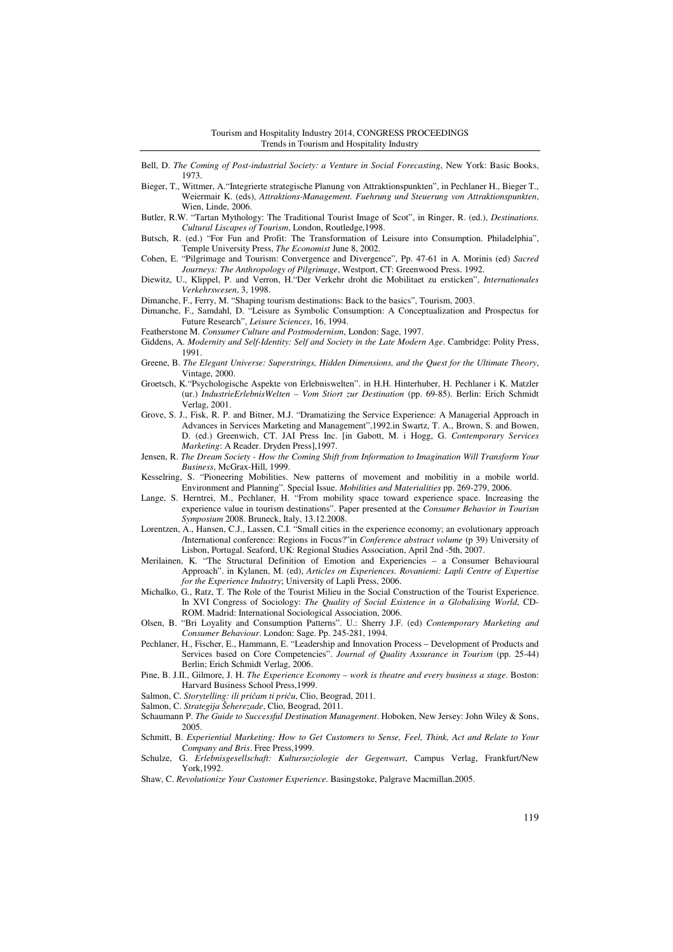Bell, D. *The Coming of Post-industrial Society: a Venture in Social Forecasting*, New York: Basic Books, 1973.

- Bieger, T., Wittmer, A."Integrierte strategische Planung von Attraktionspunkten", in Pechlaner H., Bieger T., Weiermair K. (eds), *Attraktions-Management. Fuehrung und Steuerung von Attraktionspunkten*, Wien, Linde, 2006.
- Butler, R.W. "Tartan Mythology: The Traditional Tourist Image of Scot", in Ringer, R. (ed.), *Destinations. Cultural Liscapes of Tourism*, London, Routledge,1998.
- Butsch, R. (ed.) "For Fun and Profit: The Transformation of Leisure into Consumption. Philadelphia", Temple University Press, *The Economist* June 8, 2002.
- Cohen, E. "Pilgrimage and Tourism: Convergence and Divergence", Pp. 47-61 in A. Morinis (ed) *Sacred Journeys: The Anthropology of Pilgrimage*, Westport, CT: Greenwood Press. 1992.
- Diewitz, U., Klippel, P. and Verron, H."Der Verkehr droht die Mobilitaet zu ersticken", *Internationales Verkehrswesen*, 3, 1998.
- Dimanche, F., Ferry, M. "Shaping tourism destinations: Back to the basics", Tourism, 2003.
- Dimanche, F., Samdahl, D. "Leisure as Symbolic Consumption: A Conceptualization and Prospectus for Future Research", *Leisure Sciences*, 16, 1994.
- Featherstone M. *Consumer Culture and Postmodernism*, London: Sage, 1997.
- Giddens, A. *Modernity and Self-Identity: Self and Society in the Late Modern Age*. Cambridge: Polity Press, 1991.
- Greene, B. *The Elegant Universe: Superstrings, Hidden Dimensions, and the Quest for the Ultimate Theory*, Vintage, 2000.
- Groetsch, K."Psychologische Aspekte von Erlebniswelten". in H.H. Hinterhuber, H. Pechlaner i K. Matzler (ur.) *IndustrieErlebnisWelten – Vom Stiort zur Destination* (pp. 69-85). Berlin: Erich Schmidt Verlag, 2001.
- Grove, S. J., Fisk, R. P. and Bitner, M.J. "Dramatizing the Service Experience: A Managerial Approach in Advances in Services Marketing and Management",1992.in Swartz, T. A., Brown, S. and Bowen, D. (ed.) Greenwich, CT. JAI Press Inc. [in Gabott, M. i Hogg, G. *Contemporary Services Marketing*: A Reader. Dryden Press],1997.
- Jensen, R. *The Dream Society How the Coming Shift from Information to Imagination Will Transform Your Business*, McGrax-Hill, 1999.
- Kesselring, S. "Pioneering Mobilities. New patterns of movement and mobilitiy in a mobile world. Environment and Planning". Special Issue. *Mobilities and Materialities* pp. 269-279, 2006.
- Lange, S. Herntrei, M., Pechlaner, H. "From mobility space toward experience space. Increasing the experience value in tourism destinations". Paper presented at the *Consumer Behavior in Tourism Symposium* 2008. Bruneck, Italy, 13.12.2008.
- Lorentzen, A., Hansen, C.J., Lassen, C.I. "Small cities in the experience economy; an evolutionary approach /International conference: Regions in Focus?"in *Conference abstract volume* (p 39) University of Lisbon, Portugal. Seaford, UK: Regional Studies Association, April 2nd -5th, 2007.
- Merilainen, K. "The Structural Definition of Emotion and Experiencies a Consumer Behavioural Approach". in Kylanen, M. (ed), *Articles on Experiences. Rovaniemi: Lapli Centre of Expertise for the Experience Industry*; University of Lapli Press, 2006.
- Michalko, G., Ratz, T. The Role of the Tourist Milieu in the Social Construction of the Tourist Experience. In XVI Congress of Sociology: *The Quality of Social Existence in a Globalising World*, CD-ROM. Madrid: International Sociological Association, 2006.
- Olsen, B. "Bri Loyality and Consumption Patterns". U.: Sherry J.F. (ed) *Contemporary Marketing and Consumer Behaviour*. London: Sage. Pp. 245-281, 1994.
- Pechlaner, H., Fischer, E., Hammann, E. "Leadership and Innovation Process Development of Products and Services based on Core Competencies". *Journal of Quality Assurance in Tourism* (pp. 25-44) Berlin; Erich Schmidt Verlag, 2006.
- Pine, B. J.II., Gilmore, J. H. *The Experience Economy work is theatre and every business a stage*. Boston: Harvard Business School Press,1999.
- Salmon, C. *Storytelling: ili pri*č*am ti pri*č*u*, Clio, Beograd, 2011.
- Salmon, C. *Strategija Šeherezade*, Clio, Beograd, 2011.
- Schaumann P. *The Guide to Successful Destination Management*. Hoboken, New Jersey: John Wiley & Sons, 2005.
- Schmitt, B. *Experiential Marketing: How to Get Customers to Sense, Feel, Think, Act and Relate to Your Company and Bris*. Free Press,1999.
- Schulze, G. *Erlebnisgesellschaft: Kultursoziologie der Gegenwart*, Campus Verlag, Frankfurt/New York,1992.
- Shaw, C. *Revolutionize Your Customer Experience*. Basingstoke, Palgrave Macmillan.2005.